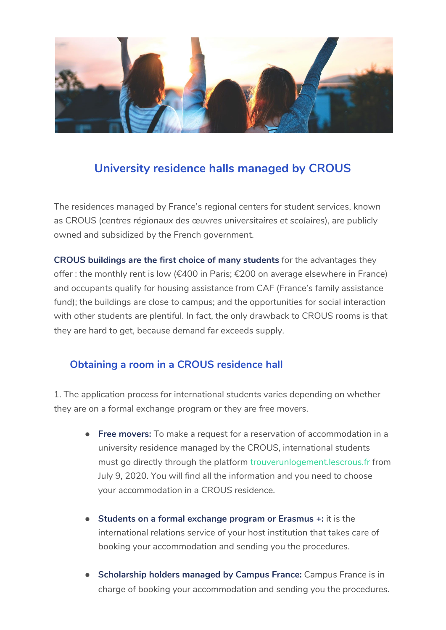

## **University residence halls managed by CROUS**

The residences managed by France's regional centers for student services, known as CROUS (*centres régionaux des œuvres universitaires et scolaires*), are publicly owned and subsidized by the French government.

**CROUS buildings are the first choice of many students** for the advantages they offer : the monthly rent is low (€400 in Paris; €200 on average elsewhere in France) and occupants qualify for housing assistance from CAF (France's family assistance fund); the buildings are close to campus; and the opportunities for social interaction with other students are plentiful. In fact, the only drawback to CROUS rooms is that they are hard to get, because demand far exceeds supply.

## **Obtaining a room in a CROUS residence hall**

1. The application process for international students varies depending on whether they are on a formal exchange program or they are free movers.

- **Free movers:** To make a request for a reservation of accommodation in a university residence managed by the CROUS, international students must go directly through the platform [trouverunlogement.lescrous.fr](https://trouverunlogement.lescrous.fr/) from July 9, 2020. You will find all the information and you need to choose your accommodation in a CROUS residence.
- **Students on a formal exchange program or Erasmus +:** it is the international relations service of your host institution that takes care of booking your accommodation and sending you the procedures.
- **Scholarship holders managed by Campus France:** Campus France is in charge of booking your accommodation and sending you the procedures.